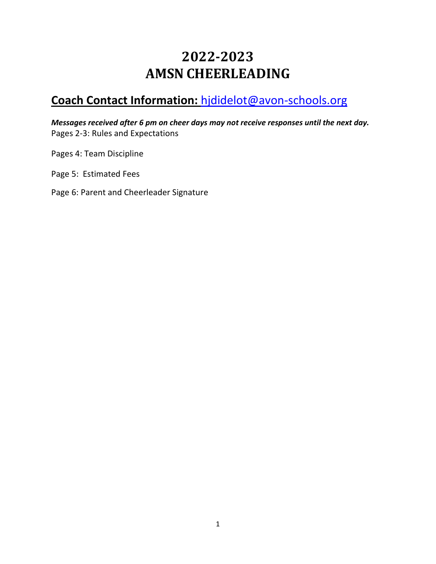## **2022-2023 AMSN CHEERLEADING**

### **Coach Contact Information:** [hjdidelot@avon-schools.org](mailto:hjdidelot@avon-schools.org)

*Messages received after 6 pm on cheer days may not receive responses until the next day.* Pages 2-3: Rules and Expectations

Pages 4: Team Discipline

Page 5: Estimated Fees

Page 6: Parent and Cheerleader Signature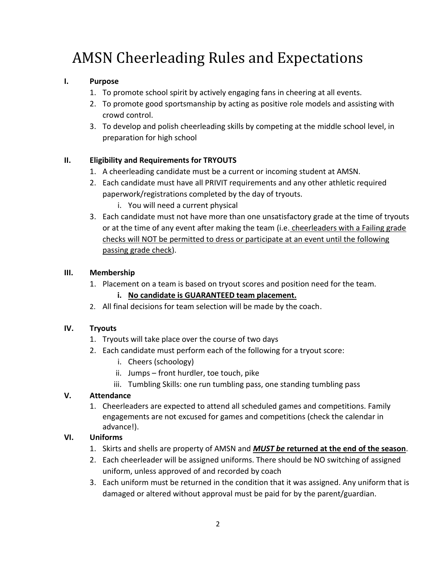# AMSN Cheerleading Rules and Expectations

#### **I. Purpose**

- 1. To promote school spirit by actively engaging fans in cheering at all events.
- 2. To promote good sportsmanship by acting as positive role models and assisting with crowd control.
- 3. To develop and polish cheerleading skills by competing at the middle school level, in preparation for high school

#### **II. Eligibility and Requirements for TRYOUTS**

- 1. A cheerleading candidate must be a current or incoming student at AMSN.
- 2. Each candidate must have all PRIVIT requirements and any other athletic required paperwork/registrations completed by the day of tryouts.
	- i. You will need a current physical
- 3. Each candidate must not have more than one unsatisfactory grade at the time of tryouts or at the time of any event after making the team (i.e. cheerleaders with a Failing grade checks will NOT be permitted to dress or participate at an event until the following passing grade check).

#### **III. Membership**

1. Placement on a team is based on tryout scores and position need for the team.

#### **i. No candidate is GUARANTEED team placement.**

2. All final decisions for team selection will be made by the coach.

#### **IV. Tryouts**

- 1. Tryouts will take place over the course of two days
- 2. Each candidate must perform each of the following for a tryout score:
	- i. Cheers (schoology)
	- ii. Jumps front hurdler, toe touch, pike
	- iii. Tumbling Skills: one run tumbling pass, one standing tumbling pass

#### **V. Attendance**

1. Cheerleaders are expected to attend all scheduled games and competitions. Family engagements are not excused for games and competitions (check the calendar in advance!).

#### **VI. Uniforms**

- 1. Skirts and shells are property of AMSN and *MUST be* **returned at the end of the season**.
- 2. Each cheerleader will be assigned uniforms. There should be NO switching of assigned uniform, unless approved of and recorded by coach
- 3. Each uniform must be returned in the condition that it was assigned. Any uniform that is damaged or altered without approval must be paid for by the parent/guardian.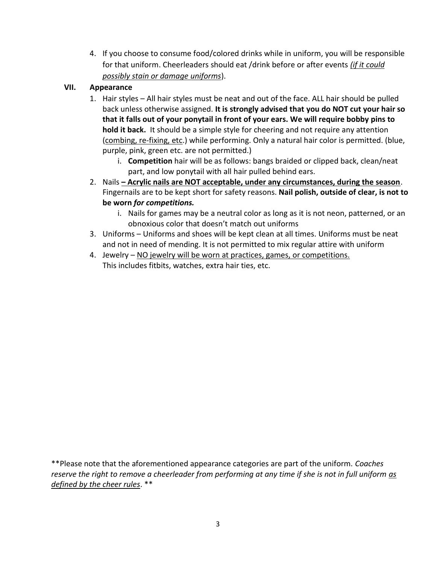4. If you choose to consume food/colored drinks while in uniform, you will be responsible for that uniform. Cheerleaders should eat /drink before or after events *(if it could possibly stain or damage uniforms*).

#### **VII. Appearance**

- 1. Hair styles All hair styles must be neat and out of the face. ALL hair should be pulled back unless otherwise assigned. **It is strongly advised that you do NOT cut your hair so that it falls out of your ponytail in front of your ears. We will require bobby pins to hold it back.** It should be a simple style for cheering and not require any attention (combing, re-fixing, etc.) while performing. Only a natural hair color is permitted. (blue, purple, pink, green etc. are not permitted.)
	- i. **Competition** hair will be as follows: bangs braided or clipped back, clean/neat part, and low ponytail with all hair pulled behind ears.
- 2. Nails **– Acrylic nails are NOT acceptable, under any circumstances, during the season**. Fingernails are to be kept short for safety reasons. **Nail polish, outside of clear, is not to be worn** *for competitions.* 
	- i. Nails for games may be a neutral color as long as it is not neon, patterned, or an obnoxious color that doesn't match out uniforms
- 3. Uniforms Uniforms and shoes will be kept clean at all times. Uniforms must be neat and not in need of mending. It is not permitted to mix regular attire with uniform
- 4. Jewelry NO jewelry will be worn at practices, games, or competitions.

This includes fitbits, watches, extra hair ties, etc.

\*\*Please note that the aforementioned appearance categories are part of the uniform. *Coaches reserve the right to remove a cheerleader from performing at any time if she is not in full uniform as defined by the cheer rules*. \*\*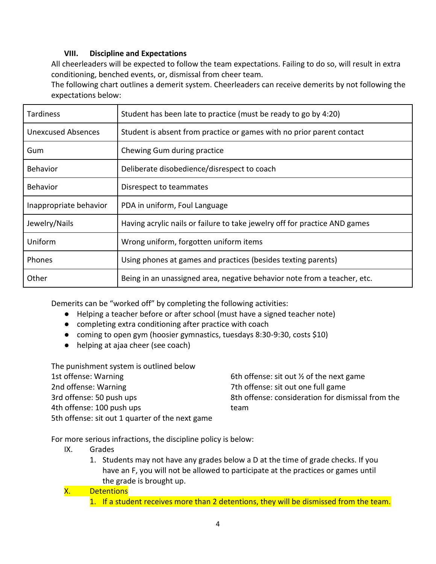#### **VIII. Discipline and Expectations**

All cheerleaders will be expected to follow the team expectations. Failing to do so, will result in extra conditioning, benched events, or, dismissal from cheer team.

The following chart outlines a demerit system. Cheerleaders can receive demerits by not following the expectations below:

| <b>Tardiness</b>          | Student has been late to practice (must be ready to go by 4:20)            |  |
|---------------------------|----------------------------------------------------------------------------|--|
| <b>Unexcused Absences</b> | Student is absent from practice or games with no prior parent contact      |  |
| Gum                       | Chewing Gum during practice                                                |  |
| Behavior                  | Deliberate disobedience/disrespect to coach                                |  |
| <b>Behavior</b>           | Disrespect to teammates                                                    |  |
| Inappropriate behavior    | PDA in uniform, Foul Language                                              |  |
| Jewelry/Nails             | Having acrylic nails or failure to take jewelry off for practice AND games |  |
| Uniform                   | Wrong uniform, forgotten uniform items                                     |  |
| Phones                    | Using phones at games and practices (besides texting parents)              |  |
| Other                     | Being in an unassigned area, negative behavior note from a teacher, etc.   |  |

Demerits can be "worked off" by completing the following activities:

- Helping a teacher before or after school (must have a signed teacher note)
- completing extra conditioning after practice with coach
- coming to open gym (hoosier gymnastics, tuesdays 8:30-9:30, costs \$10)
- helping at ajaa cheer (see coach)

| The punishment system is outlined below         |                                                     |
|-------------------------------------------------|-----------------------------------------------------|
| 1st offense: Warning                            | 6th offense: sit out $\frac{1}{2}$ of the next game |
| 2nd offense: Warning                            | 7th offense: sit out one full game                  |
| 3rd offense: 50 push ups                        | 8th offense: consideration for dismissal from the   |
| 4th offense: 100 push ups                       | team                                                |
| 5th offense: sit out 1 quarter of the next game |                                                     |

For more serious infractions, the discipline policy is below:

- IX. Grades
	- 1. Students may not have any grades below a D at the time of grade checks. If you have an F, you will not be allowed to participate at the practices or games until the grade is brought up.

#### X. Detentions

1. If a student receives more than 2 detentions, they will be dismissed from the team.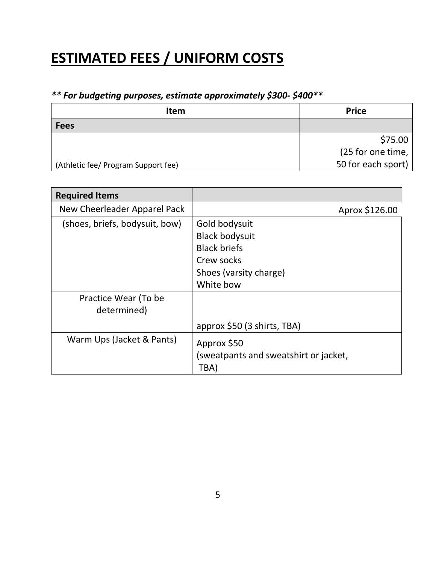## **ESTIMATED FEES / UNIFORM COSTS**

### *\*\* For budgeting purposes, estimate approximately \$300- \$400\*\**

| <b>Item</b>                         | <b>Price</b>       |
|-------------------------------------|--------------------|
| <b>Fees</b>                         |                    |
|                                     | \$75.00            |
|                                     | (25 for one time,  |
| (Athletic fee/ Program Support fee) | 50 for each sport) |

| <b>Required Items</b>               |                                                                                                                    |
|-------------------------------------|--------------------------------------------------------------------------------------------------------------------|
| New Cheerleader Apparel Pack        | Aprox \$126.00                                                                                                     |
| (shoes, briefs, bodysuit, bow)      | Gold bodysuit<br><b>Black bodysuit</b><br><b>Black briefs</b><br>Crew socks<br>Shoes (varsity charge)<br>White bow |
| Practice Wear (To be<br>determined) | approx \$50 (3 shirts, TBA)                                                                                        |
| Warm Ups (Jacket & Pants)           | Approx \$50<br>(sweatpants and sweatshirt or jacket,<br>TBA)                                                       |